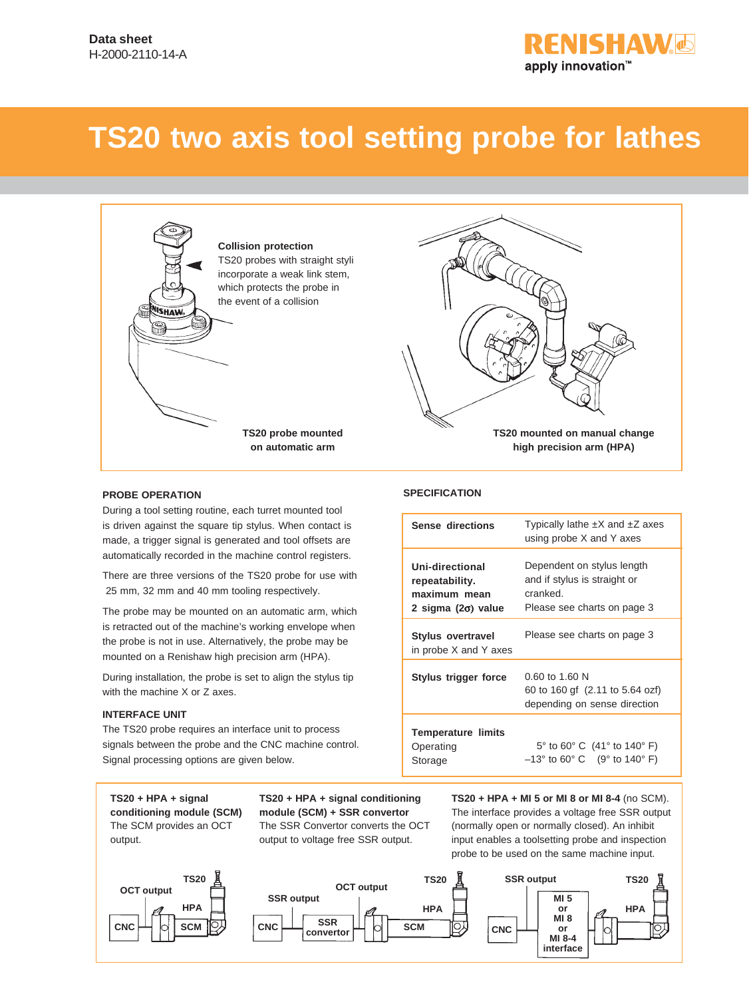# **FNISHAW&** apply innovation™

# **TS20 two axis tool setting probe for lathes**





### **PROBE OPERATION**

During a tool setting routine, each turret mounted tool is driven against the square tip stylus. When contact is made, a trigger signal is generated and tool offsets are automatically recorded in the machine control registers.

There are three versions of the TS20 probe for use with 25 mm, 32 mm and 40 mm tooling respectively.

The probe may be mounted on an automatic arm, which is retracted out of the machine's working envelope when the probe is not in use. Alternatively, the probe may be mounted on a Renishaw high precision arm (HPA).

During installation, the probe is set to align the stylus tip with the machine X or Z axes.

### **INTERFACE UNIT**

The TS20 probe requires an interface unit to process signals between the probe and the CNC machine control. Signal processing options are given below.

**TS20 + HPA + signal conditioning module (SCM)** The SCM provides an OCT output.



**TS20 + HPA + signal conditioning module (SCM) + SSR convertor** The SSR Convertor converts the OCT output to voltage free SSR output.



| Sense directions                                                               | Typically lathe $\pm X$ and $\pm Z$ axes<br>using probe X and Y axes                                  |
|--------------------------------------------------------------------------------|-------------------------------------------------------------------------------------------------------|
| Uni-directional<br>repeatability.<br>maximum mean<br>2 sigma $(2\sigma)$ value | Dependent on stylus length<br>and if stylus is straight or<br>cranked.<br>Please see charts on page 3 |
| <b>Stylus overtravel</b><br>in probe X and Y axes                              | Please see charts on page 3                                                                           |
| Stylus trigger force                                                           | $0.60$ to 1.60 N<br>60 to 160 gf (2.11 to 5.64 ozf)<br>depending on sense direction                   |
| <b>Temperature limits</b><br>Operating<br>Storage                              | 5° to 60° C (41° to 140° F)<br>$-13^{\circ}$ to 60° C (9° to 140° F)                                  |

**TS20 + HPA + MI 5 or MI 8 or MI 8-4** (no SCM). The interface provides a voltage free SSR output (normally open or normally closed). An inhibit input enables a toolsetting probe and inspection probe to be used on the same machine input.



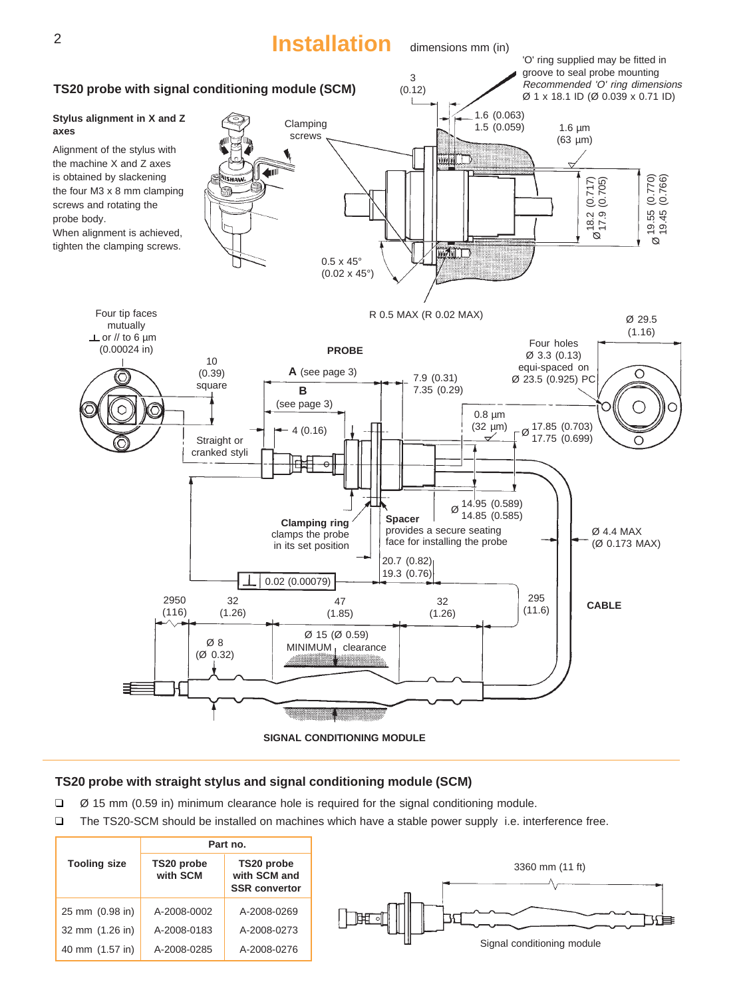

# **TS20 probe with straight stylus and signal conditioning module (SCM)**

- ❑ Ø 15 mm (0.59 in) minimum clearance hole is required for the signal conditioning module.
- ❑ The TS20-SCM should be installed on machines which have a stable power supply i.e. interference free.

|                     |                        | Part no.                                           |
|---------------------|------------------------|----------------------------------------------------|
| <b>Tooling size</b> | TS20 probe<br>with SCM | TS20 probe<br>with SCM and<br><b>SSR convertor</b> |
| 25 mm (0.98 in)     | A-2008-0002            | A-2008-0269                                        |
| 32 mm (1.26 in)     | A-2008-0183            | A-2008-0273                                        |
| 40 mm (1.57 in)     | A-2008-0285            | A-2008-0276                                        |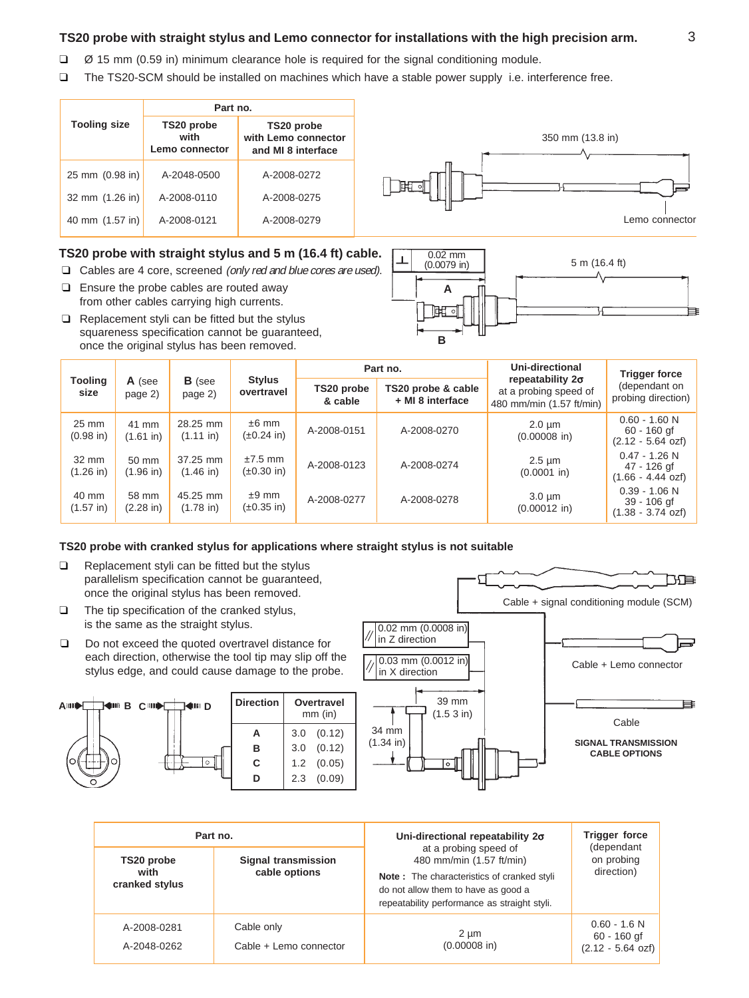# **TS20 probe with straight stylus and Lemo connector for installations with the high precision arm.**

- ❑ Ø 15 mm (0.59 in) minimum clearance hole is required for the signal conditioning module.
- ❑ The TS20-SCM should be installed on machines which have a stable power supply i.e. interference free.

|                     |                 | Part no.                             |                                                         |
|---------------------|-----------------|--------------------------------------|---------------------------------------------------------|
| <b>Tooling size</b> |                 | TS20 probe<br>with<br>Lemo connector | TS20 probe<br>with Lemo connector<br>and MI 8 interface |
|                     | 25 mm (0.98 in) | A-2048-0500                          | A-2008-0272                                             |
|                     | 32 mm (1.26 in) | A-2008-0110                          | A-2008-0275                                             |
| 40 mm (1.57 in)     |                 | A-2008-0121                          | A-2008-0279                                             |



- ❑ Cables are 4 core, screened (only red and blue cores are used).
- ❑ Ensure the probe cables are routed away from other cables carrying high currents.
- ❑ Replacement styli can be fitted but the stylus squareness specification cannot be guaranteed, once the original stylus has been removed.



|                 |                              |                              |                                 |                               | Part no.                               |                                                                              | Uni-directional                     | <b>Trigger force</b>                                          |
|-----------------|------------------------------|------------------------------|---------------------------------|-------------------------------|----------------------------------------|------------------------------------------------------------------------------|-------------------------------------|---------------------------------------------------------------|
| Tooling<br>size | A (see<br>page 2)            | <b>B</b> (see<br>page 2)     | Stylus<br>overtravel            | TS20 probe<br>& cable         | TS20 probe & cable<br>+ MI 8 interface | repeatability $2\sigma$<br>at a probing speed of<br>480 mm/min (1.57 ft/min) | (dependant on<br>probing direction) |                                                               |
|                 | 25 mm<br>$(0.98)$ in         | 41 mm<br>$(1.61)$ in)        | 28.25 mm<br>$(1.11 \text{ in})$ | $±6$ mm<br>$(\pm 0.24)$ in)   | A-2008-0151                            | A-2008-0270                                                                  | $2.0 \mu m$<br>$(0.00008)$ in)      | $0.60 - 1.60$ N<br>60 - 160 gf<br>$(2.12 - 5.64 \text{ ozf})$ |
|                 | 32 mm<br>$(1.26)$ in         | 50 mm<br>$(1.96)$ in)        | 37.25 mm<br>$(1.46)$ in)        | $±7.5$ mm<br>$(\pm 0.30)$ in) | A-2008-0123                            | A-2008-0274                                                                  | $2.5 \mu m$<br>$(0.0001)$ in)       | $0.47 - 1.26$ N<br>47 - 126 gf<br>$(1.66 - 4.44$ ozf)         |
|                 | 40 mm<br>$(1.57 \text{ in})$ | 58 mm<br>$(2.28 \text{ in})$ | 45.25 mm<br>$(1.78)$ in)        | $±9$ mm<br>$(\pm 0.35)$ in)   | A-2008-0277                            | A-2008-0278                                                                  | $3.0 \mu m$<br>$(0.00012$ in)       | $0.39 - 1.06$ N<br>39 - 106 gf<br>$(1.38 - 3.74 \text{ ozf})$ |

### **TS20 probe with cranked stylus for applications where straight stylus is not suitable**

- ❑ Replacement styli can be fitted but the stylus parallelism specification cannot be guaranteed, once the original stylus has been removed.
- ❑ The tip specification of the cranked stylus, is the same as the straight stylus.
- ❑ Do not exceed the quoted overtravel distance for each direction, otherwise the tool tip may slip off the stylus edge, and could cause damage to the probe.





| Part no.                             |                                             | Uni-directional repeatability 20                                                                                                                                                       | <b>Trigger force</b><br>(dependant                           |  |
|--------------------------------------|---------------------------------------------|----------------------------------------------------------------------------------------------------------------------------------------------------------------------------------------|--------------------------------------------------------------|--|
| TS20 probe<br>with<br>cranked stylus | <b>Signal transmission</b><br>cable options | at a probing speed of<br>480 mm/min (1.57 ft/min)<br>Note: The characteristics of cranked styli<br>do not allow them to have as good a<br>repeatability performance as straight styli. | on probing<br>direction)                                     |  |
| A-2008-0281<br>A-2048-0262           | Cable only<br>Cable + Lemo connector        | $2 \mu m$<br>$(0.00008)$ in)                                                                                                                                                           | $0.60 - 1.6 N$<br>60 - 160 gf<br>$(2.12 - 5.64 \text{ ozf})$ |  |